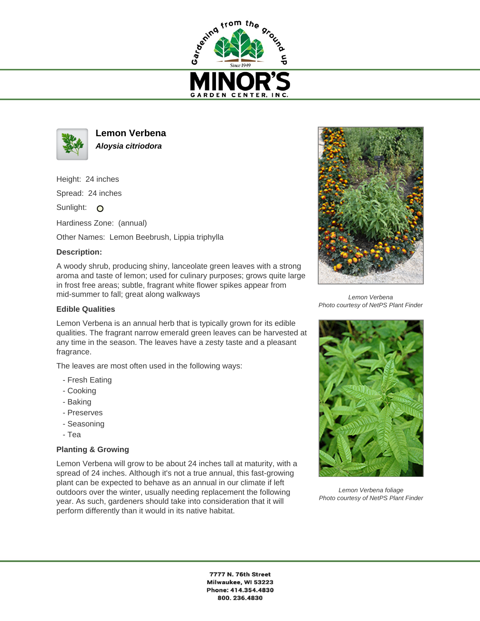



**Lemon Verbena Aloysia citriodora**

Height: 24 inches

Spread: 24 inches

Sunlight: O

Hardiness Zone: (annual)

Other Names: Lemon Beebrush, Lippia triphylla

## **Description:**

A woody shrub, producing shiny, lanceolate green leaves with a strong aroma and taste of lemon; used for culinary purposes; grows quite large in frost free areas; subtle, fragrant white flower spikes appear from mid-summer to fall; great along walkways

## **Edible Qualities**

Lemon Verbena is an annual herb that is typically grown for its edible qualities. The fragrant narrow emerald green leaves can be harvested at any time in the season. The leaves have a zesty taste and a pleasant fragrance.

The leaves are most often used in the following ways:

- Fresh Eating
- Cooking
- Baking
- Preserves
- Seasoning
- Tea

## **Planting & Growing**

Lemon Verbena will grow to be about 24 inches tall at maturity, with a spread of 24 inches. Although it's not a true annual, this fast-growing plant can be expected to behave as an annual in our climate if left outdoors over the winter, usually needing replacement the following year. As such, gardeners should take into consideration that it will perform differently than it would in its native habitat.



Lemon Verbena Photo courtesy of NetPS Plant Finder



Lemon Verbena foliage Photo courtesy of NetPS Plant Finder

7777 N. 76th Street Milwaukee, WI 53223 Phone: 414.354.4830 800.236.4830